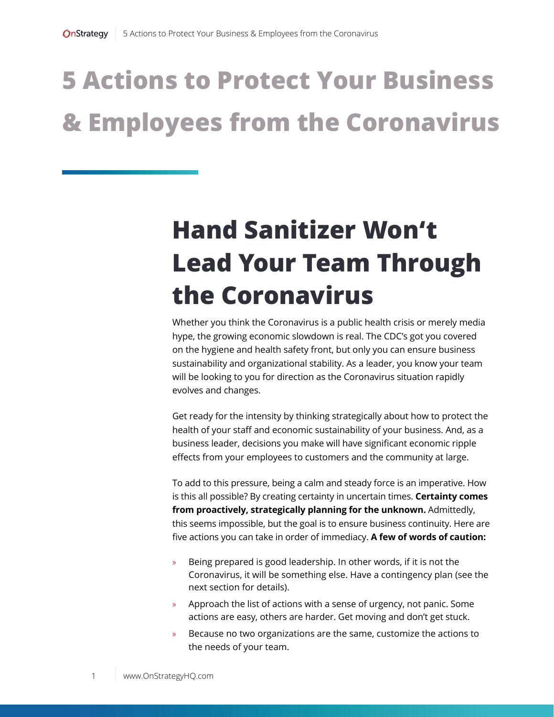## **5 Actions to Protect Your Business & Employees from the Coronavirus**

#### **Hand Sanitizer Won't Lead Your Team Through the Coronavirus**

Whether you think the Coronavirus is a public health crisis or merely media hype, the growing economic slowdown is real. The CDC's got you covered on the hygiene and health safety front, but only you can ensure business sustainability and organizational stability. As a leader, you know your team will be looking to you for direction as the Coronavirus situation rapidly evolves and changes.

Get ready for the intensity by thinking strategically about how to protect the health of your staff and economic sustainability of your business. And, as a business leader, decisions you make will have significant economic ripple effects from your employees to customers and the community at large.

To add to this pressure, being a calm and steady force is an imperative. How is this all possible? By creating certainty in uncertain times. **Certainty comes from proactively, strategically planning for the unknown.** Admittedly, this seems impossible, but the goal is to ensure business continuity. Here are five actions you can take in order of immediacy. **A few of words of caution:**

- » Being prepared is good leadership. In other words, if it is not the Coronavirus, it will be something else. Have a contingency plan (see the next section for details).
- » Approach the list of actions with a sense of urgency, not panic. Some actions are easy, others are harder. Get moving and don't get stuck.
- » Because no two organizations are the same, customize the actions to the needs of your team.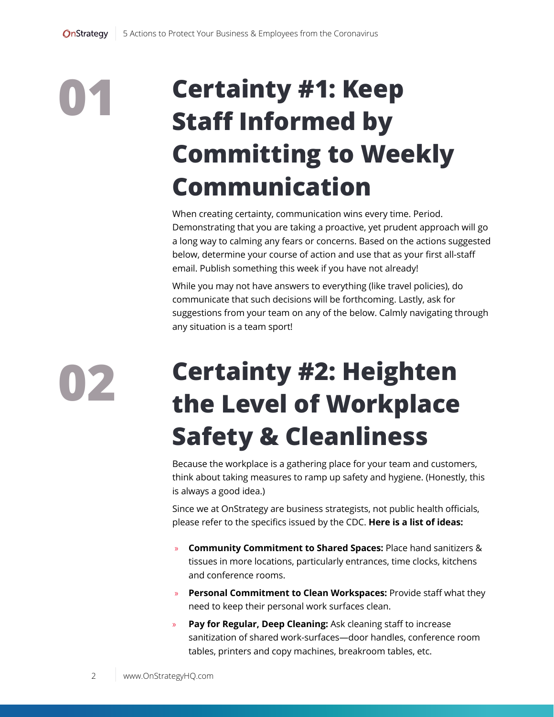# **01**

#### **Certainty #1: Keep Staff Informed by Committing to Weekly Communication**

When creating certainty, communication wins every time. Period. Demonstrating that you are taking a proactive, yet prudent approach will go a long way to calming any fears or concerns. Based on the actions suggested below, determine your course of action and use that as your first all-staff email. Publish something this week if you have not already!

While you may not have answers to everything (like travel policies), do communicate that such decisions will be forthcoming. Lastly, ask for suggestions from your team on any of the below. Calmly navigating through any situation is a team sport!

**02**

### **Certainty #2: Heighten the Level of Workplace Safety & Cleanliness**

Because the workplace is a gathering place for your team and customers, think about taking measures to ramp up safety and hygiene. (Honestly, this is always a good idea.)

Since we at OnStrategy are business strategists, not public health officials, please refer to the specifics issued by the CDC. **Here is a list of ideas:**

- » **Community Commitment to Shared Spaces:** Place hand sanitizers & tissues in more locations, particularly entrances, time clocks, kitchens and conference rooms.
- » **Personal Commitment to Clean Workspaces:** Provide staff what they need to keep their personal work surfaces clean.
- » **Pay for Regular, Deep Cleaning:** Ask cleaning staff to increase sanitization of shared work-surfaces—door handles, conference room tables, printers and copy machines, breakroom tables, etc.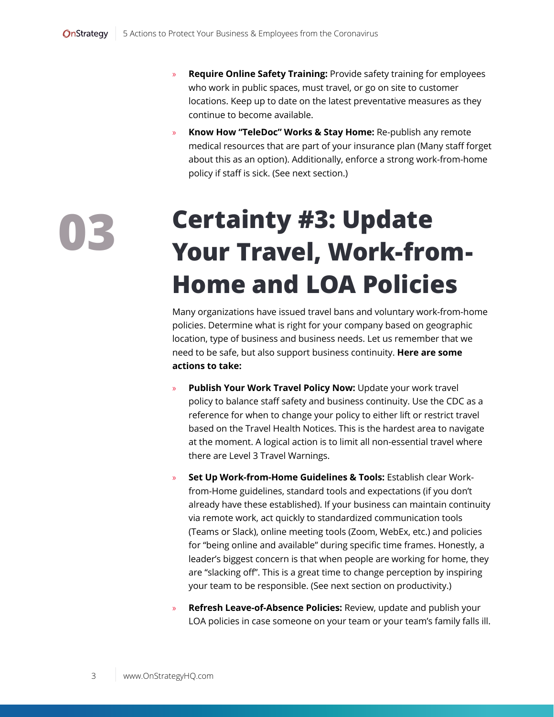- » **Require Online Safety Training:** Provide safety training for employees who work in public spaces, must travel, or go on site to customer locations. Keep up to date on the latest preventative measures as they continue to become available.
- » **Know How "TeleDoc" Works & Stay Home:** Re-publish any remote medical resources that are part of your insurance plan (Many staff forget about this as an option). Additionally, enforce a strong work-from-home policy if staff is sick. (See next section.)

#### **Certainty #3: Update Your Travel, Work-from-Home and LOA Policies**

Many organizations have issued travel bans and voluntary work-from-home policies. Determine what is right for your company based on geographic location, type of business and business needs. Let us remember that we need to be safe, but also support business continuity. **Here are some actions to take:**

- » **Publish Your Work Travel Policy Now:** Update your work travel policy to balance staff safety and business continuity. Use the CDC as a reference for when to change your policy to either lift or restrict travel based on the Travel Health Notices. This is the hardest area to navigate at the moment. A logical action is to limit all non-essential travel where there are Level 3 Travel Warnings.
- » **Set Up Work-from-Home Guidelines & Tools:** Establish clear Workfrom-Home guidelines, standard tools and expectations (if you don't already have these established). If your business can maintain continuity via remote work, act quickly to standardized communication tools (Teams or Slack), online meeting tools (Zoom, WebEx, etc.) and policies for "being online and available" during specific time frames. Honestly, a leader's biggest concern is that when people are working for home, they are "slacking off". This is a great time to change perception by inspiring your team to be responsible. (See next section on productivity.)
- » **Refresh Leave-of-Absence Policies:** Review, update and publish your LOA policies in case someone on your team or your team's family falls ill.

**03**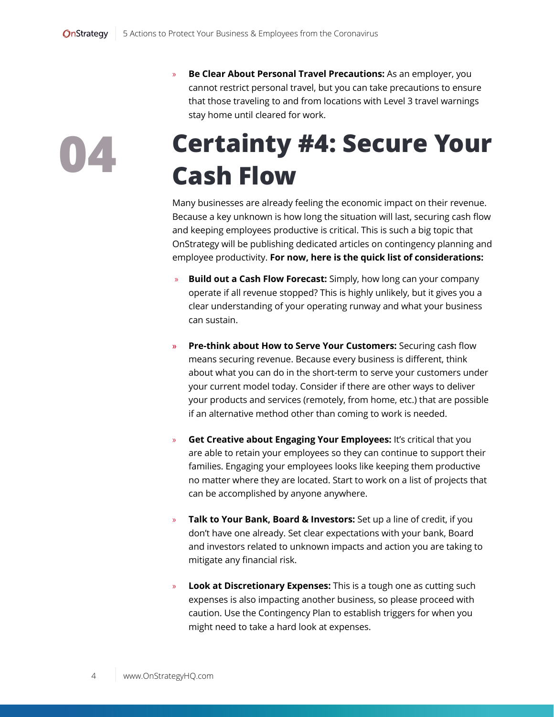**04**

» **Be Clear About Personal Travel Precautions:** As an employer, you cannot restrict personal travel, but you can take precautions to ensure that those traveling to and from locations with Level 3 travel warnings stay home until cleared for work.

#### **Certainty #4: Secure Your Cash Flow**

Many businesses are already feeling the economic impact on their revenue. Because a key unknown is how long the situation will last, securing cash flow and keeping employees productive is critical. This is such a big topic that OnStrategy will be publishing dedicated articles on contingency planning and employee productivity. **For now, here is the quick list of considerations:**

- » **Build out a Cash Flow Forecast:** Simply, how long can your company operate if all revenue stopped? This is highly unlikely, but it gives you a clear understanding of your operating runway and what your business can sustain.
- **» Pre-think about How to Serve Your Customers:** Securing cash flow means securing revenue. Because every business is different, think about what you can do in the short-term to serve your customers under your current model today. Consider if there are other ways to deliver your products and services (remotely, from home, etc.) that are possible if an alternative method other than coming to work is needed.
- » **Get Creative about Engaging Your Employees:** It's critical that you are able to retain your employees so they can continue to support their families. Engaging your employees looks like keeping them productive no matter where they are located. Start to work on a list of projects that can be accomplished by anyone anywhere.
- » **Talk to Your Bank, Board & Investors:** Set up a line of credit, if you don't have one already. Set clear expectations with your bank, Board and investors related to unknown impacts and action you are taking to mitigate any financial risk.
- » **Look at Discretionary Expenses:** This is a tough one as cutting such expenses is also impacting another business, so please proceed with caution. Use the Contingency Plan to establish triggers for when you might need to take a hard look at expenses.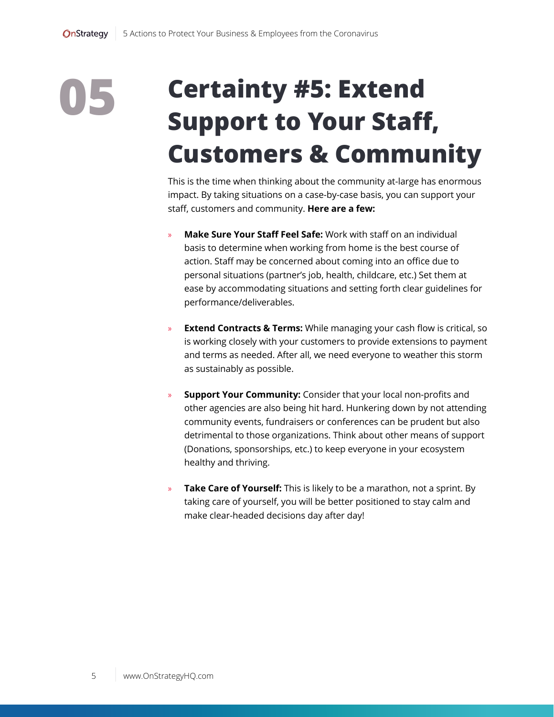### **05 Certainty #5: Extend Support to Your Staff, Customers & Community**

This is the time when thinking about the community at-large has enormous impact. By taking situations on a case-by-case basis, you can support your staff, customers and community. **Here are a few:**

- » **Make Sure Your Staff Feel Safe:** Work with staff on an individual basis to determine when working from home is the best course of action. Staff may be concerned about coming into an office due to personal situations (partner's job, health, childcare, etc.) Set them at ease by accommodating situations and setting forth clear guidelines for performance/deliverables.
- » **Extend Contracts & Terms:** While managing your cash flow is critical, so is working closely with your customers to provide extensions to payment and terms as needed. After all, we need everyone to weather this storm as sustainably as possible.
- **Support Your Community:** Consider that your local non-profits and other agencies are also being hit hard. Hunkering down by not attending community events, fundraisers or conferences can be prudent but also detrimental to those organizations. Think about other means of support (Donations, sponsorships, etc.) to keep everyone in your ecosystem healthy and thriving.
- » **Take Care of Yourself:** This is likely to be a marathon, not a sprint. By taking care of yourself, you will be better positioned to stay calm and make clear-headed decisions day after day!